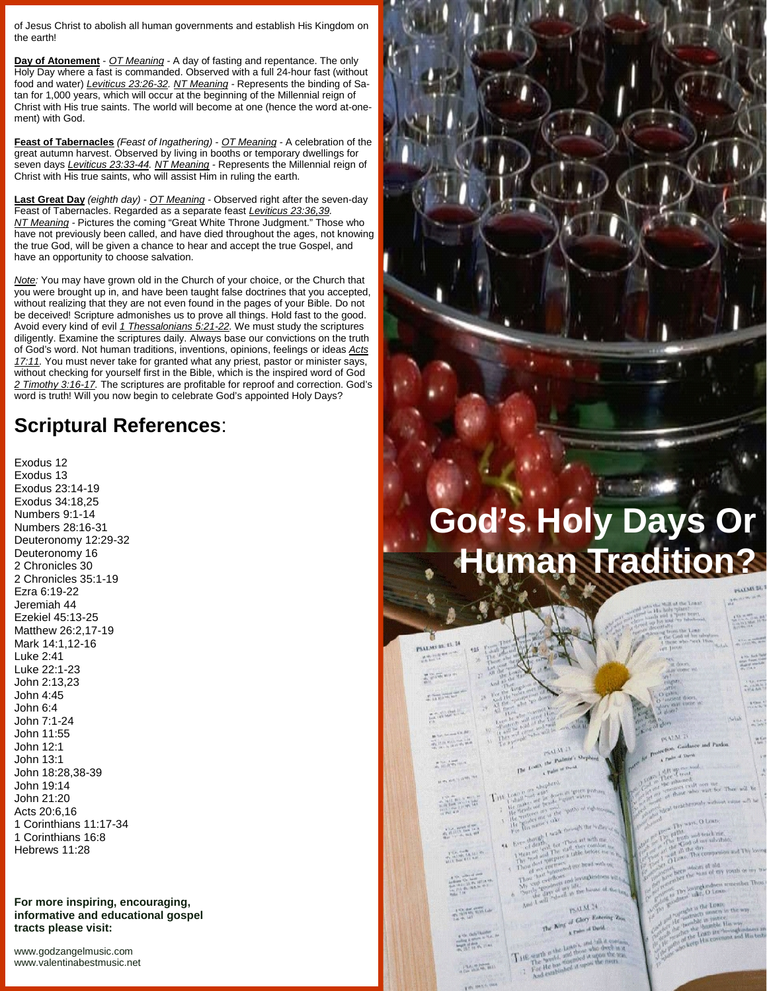of Jesus Christ to abolish all human governments and establish His Kingdom on the earth!

**Day of Atonement** - *OT Meaning -* A day of fasting and repentance. The only Holy Day where a fast is commanded. Observed with a full 24-hour fast (without food and water) *Leviticus 23:26-32. NT Meaning -* Represents the binding of Satan for 1,000 years, which will occur at the beginning of the Millennial reign of Christ with His true saints. The world will become at one (hence the word at-one ment) with God.

**Feast of Tabernacles** *(Feast of Ingathering)* - *OT Meaning -* A celebration of the great autumn harvest. Observed by living in booths or temporary dwellings for seven days *Leviticus 23:33-44. NT Meaning -* Represents the Millennial reign of Christ with His true saints, who will assist Him in ruling the earth.

**Last Great Day** *(eighth day)* - *OT Meaning -* Observed right after the seven-day Feast of Tabernacles. Regarded as a separate feast *Leviticus 23:36,39. NT Meaning -* Pictures the coming "Great White Throne Judgment." Those who have not previously been called, and have died throughout the ages, not knowing the true God, will be given a chance to hear and accept the true Gospel, and have an opportunity to choose salvation.

*Note:* You may have grown old in the Church of your choice, or the Church that you were brought up in, and have been taught false doctrines that you accepted, without realizing that they are not even found in the pages of your Bible. Do not be deceived! Scripture admonishes us to prove all things. Hold fast to the good. Avoid every kind of evil *1 Thessalonians 5:21-22.* We must study the scriptures diligently. Examine the scriptures daily. Always base our convictions on the truth of God's word. Not human traditions, inventions, opinions, feelings or ideas *Acts 17:11.* You must never take for granted what any priest, pastor or minister says, without checking for yourself first in the Bible, which is the inspired word of God *2 Timothy 3:16-17.* The scriptures are profitable for reproof and correction. God's word is truth! Will you now begin to celebrate God's appointed Holy Days?

## **Scriptural References**:

Exodus 12 Exodus 13 Exodus 23:14-19 Exodus 34:18,25 Numbers 9:1-14 Numbers 28:16-31 Deuteronomy 12:29-32 Deuteronomy 16 2 Chronicles 30 2 Chronicles 35:1-19 Ezra 6:19-22 Jeremiah 44 Ezekiel 45:13-25 Matthew 26:2,17-19 Mark 14:1,12-16 Luke 2:41 Luke 22:1-23 John 2:13,23 John 4:45 John 6:4 John 7:1-24 John 11:55 John 12:1 John 13:1 John 18:28,38-39 John 19:14 John 21:20 Acts 20:6,16 1 Corinthians 11:17-34 1 Corinthians 16:8 Hebrews 11:28

**For more inspiring, encouraging, informative and educational gospel tracts please visit:**

<www.godzangelmusic.com> <www.valentinabestmusic.net>

## **God's Holy Days Or Human Tradition?**